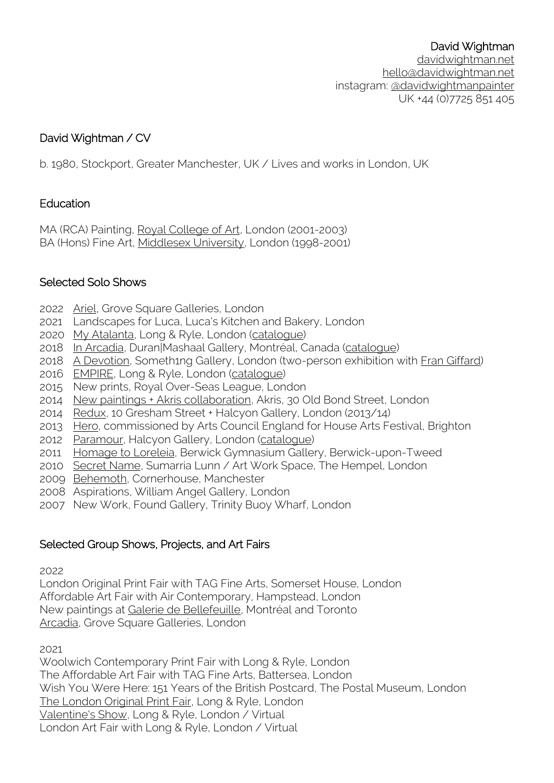#### David Wightman

[davidwightman.net](http://davidwightman.net/) [hello@davidwightman.net](mailto:hello@davidwightman.net) instagram: [@davidwightmanpainter](http://www.instagram.com/davidwightmanpainter) UK +44 (0)7725 851 405

# David Wightman / CV

b. 1980, Stockport, Greater Manchester, UK / Lives and works in London, UK

## Education

MA (RCA) Painting, [Royal College of Art,](http://www.davidwightman.net/words/rca.html) London (2001-2003) BA (Hons) Fine Art, [Middlesex University,](http://www.davidwightman.net/words/middlesex.html) London (1998-2001)

## Selected Solo Shows

- 2022 [Ariel,](https://www.grovesquaregalleries.com/exhibitions/26-ariel-a-solo-exhibition-of-new-work-by-david/overview/) Grove Square Galleries, London
- 2021 Landscapes for Luca, Luca's Kitchen and Bakery, London
- 2020 [My Atalanta,](http://www.davidwightman.net/shows/my_atalanta.html) Long & Ryle, London [\(catalogue\)](https://issuu.com/davidwightmanpainter/docs/david_wightman_my_atalanta_catalogue_online)
- 2018 [In Arcadia,](http://www.davidwightman.net/shows/in_arcadia.html) Duran|Mashaal Gallery, Montréal, Canada [\(catalogue\)](https://issuu.com/duranmashaalgallery/docs/inarcadiacataloguecompressed?e=34937143/65377518)
- 2018 [A Devotion,](http://www.davidwightman.net/shows/a_devotion.html) Someth1ng Gallery, London (two-person exhibition with [Fran Giffard\)](http://www.frangiffard.com/)
- 2016 [EMPIRE,](http://www.davidwightman.net/shows/empire.html) Long & Ryle, London [\(catalogue\)](https://issuu.com/davidwightmanpainter/docs/david_wightman_empire_catalogue_online)
- 2015 New prints, Royal Over-Seas League, London
- 2014 [New paintings + Akris collaboration,](http://www.davidwightman.net/akris.html) Akris, 30 Old Bond Street, London
- 2014 [Redux,](http://www.davidwightman.net/shows/redux.html) 10 Gresham Street + Halcyon Gallery, London (2013/14)
- 2013 [Hero,](http://www.davidwightman.net/shows/house.html) commissioned by Arts Council England for House Arts Festival, Brighton
- 2012 [Paramour,](http://www.davidwightman.net/shows/paramour.html) Halcyon Gallery, London [\(catalogue\)](http://www.halcyongallery.com/catalogues/david-wightman-paramour-catalogue)
- 2011 [Homage to Loreleia,](http://www.davidwightman.net/shows/homage_to_loreleia.html) Berwick Gymnasium Gallery, Berwick-upon-Tweed
- 2010 [Secret Name,](http://www.davidwightman.net/shows/secret_name.html) Sumarria Lunn / Art Work Space, The Hempel, London
- 2009 [Behemoth,](http://www.davidwightman.net/landscape/behemoth.html) Cornerhouse, Manchester
- 2008 Aspirations, William Angel Gallery, London
- 2007 New Work, Found Gallery, Trinity Buoy Wharf, London

## Selected Group Shows, Projects, and Art Fairs

2022

London Original Print Fair with TAG Fine Arts, Somerset House, London Affordable Art Fair with Air Contemporary, Hampstead, London New paintings at [Galerie de Bellefeuille,](https://debellefeuille.com/artist/wightman-david/) Montréal and Toronto [Arcadia,](https://www.grovesquaregalleries.com/exhibitions/22-arcadia-a-group-exhibition/works/) Grove Square Galleries, London

2021

Woolwich Contemporary Print Fair with Long & Ryle, London The Affordable Art Fair with TAG Fine Arts, Battersea, London Wish You Were Here: 151 Years of the British Postcard, The Postal Museum, London [The London Original Print Fair,](https://longandryle.com/exhibitions/87-london-original-print-fair-2021-online-and-in-the-gallery/works/) Long & Ryle, London [Valentine's Show,](https://longandryle.com/exhibitions/84-valentine-s-show-an-online-valentine-s-show/works/) Long & Ryle, London / Virtual London Art Fair with Long & Ryle, London / Virtual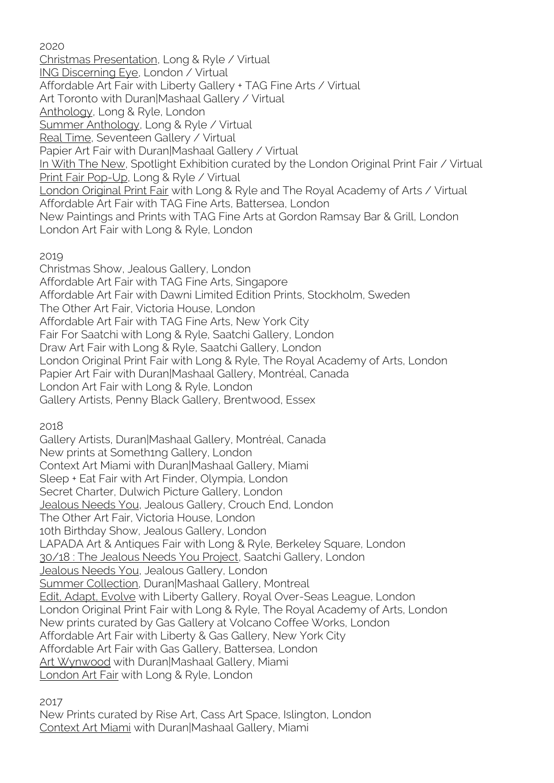2020

[Christmas Presentation,](https://longandryle.com/exhibitions/82/works/) Long & Ryle / Virtual [ING Discerning Eye,](https://www.ingdeexhibition.org/) London / Virtual Affordable Art Fair with Liberty Gallery + TAG Fine Arts / Virtual Art Toronto with Duran|Mashaal Gallery / Virtual [Anthology,](https://longandryle.com/exhibitions/74-anthology-an-group-exhibition-in-gallery/overview/) Long & Ryle, London [Summer Anthology,](https://longandryle.com/exhibitions/74/works/) Long & Ryle / Virtual [Real Time,](http://www.seventeengallery.com/exhibitions/real-time/) Seventeen Gallery / Virtual Papier Art Fair with Duran|Mashaal Gallery / Virtual [In With The New,](https://privateviews.artlogic.net/2/021cf92050bf379d934025/) Spotlight Exhibition curated by the London Original Print Fair / Virtual [Print Fair Pop-Up,](https://longandryle.com/exhibitions/72/works/) Long & Ryle / Virtual [London Original Print Fair](https://londonoriginalprintfair.com/) with Long & Ryle and The Royal Academy of Arts / Virtual Affordable Art Fair with TAG Fine Arts, Battersea, London New Paintings and Prints with TAG Fine Arts at Gordon Ramsay Bar & Grill, London London Art Fair with Long & Ryle, London

#### 2019

Christmas Show, Jealous Gallery, London Affordable Art Fair with TAG Fine Arts, Singapore Affordable Art Fair with Dawni Limited Edition Prints, Stockholm, Sweden The Other Art Fair, Victoria House, London Affordable Art Fair with TAG Fine Arts, New York City Fair For Saatchi with Long & Ryle, Saatchi Gallery, London Draw Art Fair with Long & Ryle, Saatchi Gallery, London London Original Print Fair with Long & Ryle, The Royal Academy of Arts, London Papier Art Fair with Duran|Mashaal Gallery, Montréal, Canada London Art Fair with Long & Ryle, London Gallery Artists, Penny Black Gallery, Brentwood, Essex

2018

Gallery Artists, Duran|Mashaal Gallery, Montréal, Canada New prints at Someth1ng Gallery, London Context Art Miami with Duran|Mashaal Gallery, Miami Sleep + Eat Fair with Art Finder, Olympia, London Secret Charter, Dulwich Picture Gallery, London [Jealous Needs You,](http://shop.davidwightman.net/product/phaedra) Jealous Gallery, Crouch End, London The Other Art Fair, Victoria House, London 10th Birthday Show, Jealous Gallery, London LAPADA Art & Antiques Fair with Long & Ryle, Berkeley Square, London [30/18 : The Jealous Needs You Project,](http://shop.davidwightman.net/product/phaedra) Saatchi Gallery, London [Jealous Needs You,](http://shop.davidwightman.net/product/phaedra) Jealous Gallery, London [Summer Collection,](http://www.davidwightman.net/shows/summer.html) Duran|Mashaal Gallery, Montreal [Edit, Adapt, Evolve](http://www.davidwightman.net/shows/rosl.html) with Liberty Gallery, Royal Over-Seas League, London London Original Print Fair with Long & Ryle, The Royal Academy of Arts, London New prints curated by Gas Gallery at Volcano Coffee Works, London Affordable Art Fair with Liberty & Gas Gallery, New York City Affordable Art Fair with Gas Gallery, Battersea, London [Art Wynwood](http://www.davidwightman.net/shows/wynwood.html) with Duran|Mashaal Gallery, Miami [London Art Fair](http://www.davidwightman.net/shows/laf_2018.html) with Long & Ryle, London

2017

New Prints curated by Rise Art, Cass Art Space, Islington, London [Context Art Miami](http://www.davidwightman.net/shows/context.html) with Duran|Mashaal Gallery, Miami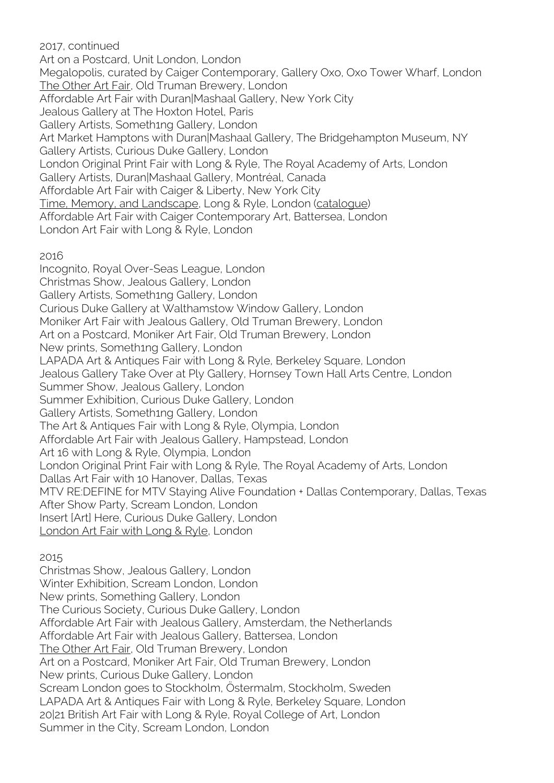2017, continued Art on a Postcard, Unit London, London Megalopolis, curated by Caiger Contemporary, Gallery Oxo, Oxo Tower Wharf, London [The Other Art Fair,](http://www.davidwightman.net/shows/toaf_4.html) Old Truman Brewery, London Affordable Art Fair with Duran|Mashaal Gallery, New York City Jealous Gallery at The Hoxton Hotel, Paris Gallery Artists, Someth1ng Gallery, London Art Market Hamptons with Duran|Mashaal Gallery, The Bridgehampton Museum, NY Gallery Artists, Curious Duke Gallery, London London Original Print Fair with Long & Ryle, The Royal Academy of Arts, London Gallery Artists, Duran|Mashaal Gallery, Montréal, Canada Affordable Art Fair with Caiger & Liberty, New York City [Time, Memory, and Landscape,](http://www.davidwightman.net/shows/time.html) Long & Ryle, London [\(catalogue\)](http://www.longandryle.com/catalogue/time-memory-and-landscape/) Affordable Art Fair with Caiger Contemporary Art, Battersea, London London Art Fair with Long & Ryle, London

2016

Incognito, Royal Over-Seas League, London Christmas Show, Jealous Gallery, London Gallery Artists, Someth1ng Gallery, London Curious Duke Gallery at Walthamstow Window Gallery, London Moniker Art Fair with Jealous Gallery, Old Truman Brewery, London Art on a Postcard, Moniker Art Fair, Old Truman Brewery, London New prints, Someth1ng Gallery, London LAPADA Art & Antiques Fair with Long & Ryle, Berkeley Square, London Jealous Gallery Take Over at Ply Gallery, Hornsey Town Hall Arts Centre, London Summer Show, Jealous Gallery, London Summer Exhibition, Curious Duke Gallery, London Gallery Artists, Someth1ng Gallery, London The Art & Antiques Fair with Long & Ryle, Olympia, London Affordable Art Fair with Jealous Gallery, Hampstead, London Art 16 with Long & Ryle, Olympia, London London Original Print Fair with Long & Ryle, The Royal Academy of Arts, London Dallas Art Fair with 10 Hanover, Dallas, Texas MTV RE:DEFINE for MTV Staying Alive Foundation + Dallas Contemporary, Dallas, Texas After Show Party, Scream London, London Insert [Art] Here, Curious Duke Gallery, London [London Art Fair with Long & Ryle,](http://www.davidwightman.net/shows/laf_2016.html) London

2015

Christmas Show, Jealous Gallery, London Winter Exhibition, Scream London, London New prints, Something Gallery, London The Curious Society, Curious Duke Gallery, London Affordable Art Fair with Jealous Gallery, Amsterdam, the Netherlands Affordable Art Fair with Jealous Gallery, Battersea, London [The Other Art Fair,](http://www.davidwightman.net/shows/toaf_3.html) Old Truman Brewery, London Art on a Postcard, Moniker Art Fair, Old Truman Brewery, London New prints, Curious Duke Gallery, London Scream London goes to Stockholm, Östermalm, Stockholm, Sweden LAPADA Art & Antiques Fair with Long & Ryle, Berkeley Square, London 20|21 British Art Fair with Long & Ryle, Royal College of Art, London Summer in the City, Scream London, London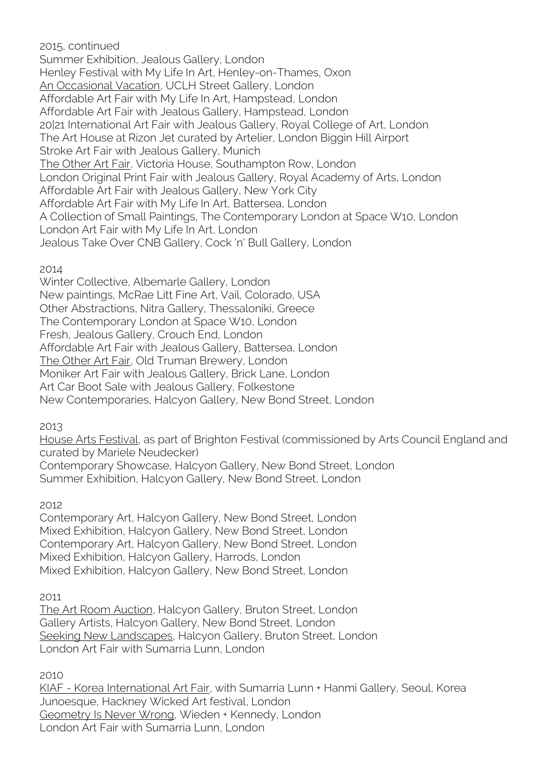2015, continued Summer Exhibition, Jealous Gallery, London Henley Festival with My Life In Art, Henley-on-Thames, Oxon [An Occasional Vacation,](http://www.davidwightman.net/shows/an_occasional_vacation.html) UCLH Street Gallery, London Affordable Art Fair with My Life In Art, Hampstead, London Affordable Art Fair with Jealous Gallery, Hampstead, London 20|21 International Art Fair with Jealous Gallery, Royal College of Art, London The Art House at Rizon Jet curated by Artelier, London Biggin Hill Airport Stroke Art Fair with Jealous Gallery, Munich [The Other Art Fair,](http://www.davidwightman.net/shows/toaf_2.html) Victoria House, Southampton Row, London London Original Print Fair with Jealous Gallery, Royal Academy of Arts, London Affordable Art Fair with Jealous Gallery, New York City Affordable Art Fair with My Life In Art, Battersea, London A Collection of Small Paintings, The Contemporary London at Space W10, London London Art Fair with My Life In Art, London Jealous Take Over CNB Gallery, Cock 'n' Bull Gallery, London

#### 2014

Winter Collective, Albemarle Gallery, London New paintings, McRae Litt Fine Art, Vail, Colorado, USA Other Abstractions, Nitra Gallery, Thessaloníki, Greece The Contemporary London at Space W10, London Fresh, Jealous Gallery, Crouch End, London Affordable Art Fair with Jealous Gallery, Battersea, London [The Other Art Fair,](http://www.davidwightman.net/shows/toaf.html) Old Truman Brewery, London Moniker Art Fair with Jealous Gallery, Brick Lane, London Art Car Boot Sale with Jealous Gallery, Folkestone New Contemporaries, Halcyon Gallery, New Bond Street, London

#### 2013

[House Arts Festival,](http://www.davidwightman.net/shows/house.html) as part of Brighton Festival (commissioned by Arts Council England and curated by Mariele Neudecker) Contemporary Showcase, Halcyon Gallery, New Bond Street, London

Summer Exhibition, Halcyon Gallery, New Bond Street, London

## 2012

Contemporary Art, Halcyon Gallery, New Bond Street, London Mixed Exhibition, Halcyon Gallery, New Bond Street, London Contemporary Art, Halcyon Gallery, New Bond Street, London Mixed Exhibition, Halcyon Gallery, Harrods, London Mixed Exhibition, Halcyon Gallery, New Bond Street, London

## 2011

[The Art Room Auction,](http://www.davidwightman.net/shows/art_room.html) Halcyon Gallery, Bruton Street, London Gallery Artists, Halcyon Gallery, New Bond Street, London [Seeking New Landscapes,](http://www.davidwightman.net/shows/seeking_new_landscapes.html) Halcyon Gallery, Bruton Street, London London Art Fair with Sumarria Lunn, London

2010

KIAF - [Korea International Art Fair,](http://www.davidwightman.net/shows/kiaf.html) with Sumarria Lunn + Hanmi Gallery, Seoul, Korea Junoesque, Hackney Wicked Art festival, London [Geometry Is Never](http://www.davidwightman.net/shows/w+k.html) Wrong, Wieden + Kennedy, London London Art Fair with Sumarria Lunn, London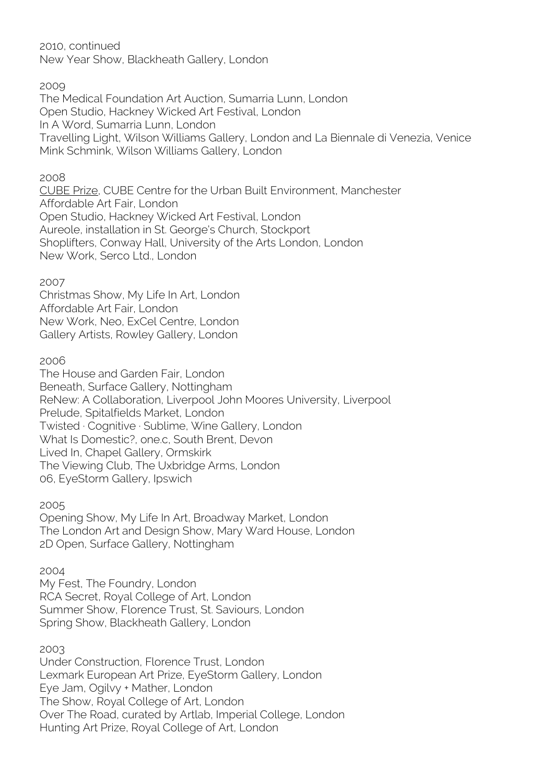2010, continued New Year Show, Blackheath Gallery, London

#### 2009

The Medical Foundation Art Auction, Sumarria Lunn, London Open Studio, Hackney Wicked Art Festival, London In A Word, Sumarria Lunn, London Travelling Light, Wilson Williams Gallery, London and La Biennale di Venezia, Venice Mink Schmink, Wilson Williams Gallery, London

#### 2008

[CUBE Prize,](http://www.davidwightman.net/shows/cube.html) CUBE Centre for the Urban Built Environment, Manchester Affordable Art Fair, London Open Studio, Hackney Wicked Art Festival, London Aureole, installation in St. George's Church, Stockport Shoplifters, Conway Hall, University of the Arts London, London New Work, Serco Ltd., London

2007

Christmas Show, My Life In Art, London Affordable Art Fair, London New Work, Neo, ExCel Centre, London Gallery Artists, Rowley Gallery, London

## 2006

The House and Garden Fair, London Beneath, Surface Gallery, Nottingham ReNew: A Collaboration, Liverpool John Moores University, Liverpool Prelude, Spitalfields Market, London Twisted · Cognitive · Sublime, Wine Gallery, London What Is Domestic?, one.c, South Brent, Devon Lived In, Chapel Gallery, Ormskirk The Viewing Club, The Uxbridge Arms, London 06, EyeStorm Gallery, Ipswich

2005

Opening Show, My Life In Art, Broadway Market, London The London Art and Design Show, Mary Ward House, London 2D Open, Surface Gallery, Nottingham

2004

My Fest, The Foundry, London RCA Secret, Royal College of Art, London Summer Show, Florence Trust, St. Saviours, London Spring Show, Blackheath Gallery, London

2003

Under Construction, Florence Trust, London Lexmark European Art Prize, EyeStorm Gallery, London Eye Jam, Ogilvy + Mather, London The Show, Royal College of Art, London Over The Road, curated by Artlab, Imperial College, London Hunting Art Prize, Royal College of Art, London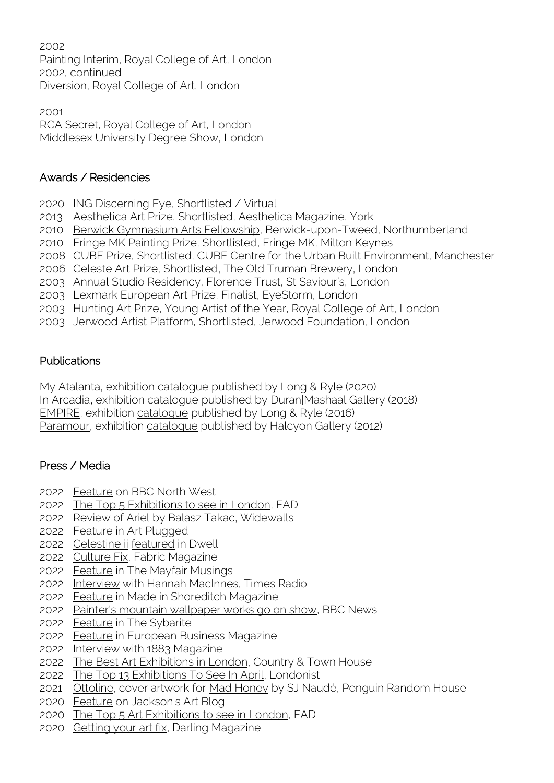Painting Interim, Royal College of Art, London 2002, continued Diversion, Royal College of Art, London

 RCA Secret, Royal College of Art, London Middlesex University Degree Show, London

# Awards / Residencies

- ING Discerning Eye, Shortlisted / Virtual
- Aesthetica Art Prize, Shortlisted, Aesthetica Magazine, York
- [Berwick Gymnasium Arts Fellowship,](http://www.davidwightman.net/shows/homage_to_loreleia.html) Berwick-upon-Tweed, Northumberland
- Fringe MK Painting Prize, Shortlisted, Fringe MK, Milton Keynes
- CUBE Prize, Shortlisted, CUBE Centre for the Urban Built Environment, Manchester
- Celeste Art Prize, Shortlisted, The Old Truman Brewery, London
- Annual Studio Residency, Florence Trust, St Saviour's, London
- Lexmark European Art Prize, Finalist, EyeStorm, London
- Hunting Art Prize, Young Artist of the Year, Royal College of Art, London
- Jerwood Artist Platform, Shortlisted, Jerwood Foundation, London

# **Publications**

[My Atalanta,](http://www.davidwightman.net/shows/my_atalanta.html) exhibition [catalogue](https://issuu.com/davidwightmanpainter/docs/david_wightman_my_atalanta_catalogue_online) published by Long & Ryle (2020) [In Arcadia,](http://www.davidwightman.net/shows/in_arcadia.html) exhibition [catalogue](https://issuu.com/duranmashaalgallery/docs/inarcadiacataloguecompressed?e=34937143/65377518) published by Duran|Mashaal Gallery (2018) [EMPIRE,](http://www.davidwightman.net/shows/empire.html) exhibition [catalogue](https://issuu.com/davidwightmanpainter/docs/david_wightman_empire_catalogue_online) published by Long & Ryle (2016) [Paramour,](http://www.davidwightman.net/shows/paramour.html) exhibition [catalogue](http://www.halcyongallery.com/catalogues/david-wightman-paramour-catalogue) published by Halcyon Gallery (2012)

# Press / Media

- [Feature](https://www.youtube.com/embed/ChdyIEFz6iI?rel=0) on BBC North West
- [The Top 5 Exhibitions to see in London,](https://fadmagazine.com/2022/05/15/the-top-5-exhibitions-to-see-in-london-in-late-may/) FAD
- [Review](https://www.widewalls.ch/magazine/grove-square-galleries-david-wightman) of [Ariel](http://www.davidwightman.net/shows/ariel.html) by Balasz Takac, Widewalls
- [Feature](https://artplugged.co.uk/david-wightman-ariel/) in Art Plugged
- [Celestine ii](http://www.davidwightman.net/landscape/celestine_2.html) [featured](https://www.dwell.com/article/before-and-after-eichler-home-renovation-gast-architects-san-mateo-99a7626c) in Dwell
- [Culture Fix,](https://www.fabricmagazine.co.uk/diary/culture-fix-may-2022/) Fabric Magazine
- [Feature](https://www.themayfairmusings.com/home/ariel-at-grove-square-galleries) in The Mayfair Musings
- [Interview](https://www.thetimes.co.uk/radio/show/20220422-11992/2022-04-22) with Hannah MacInnes, Times Radio
- [Feature](https://madeinshoreditch.co.uk/2022/04/21/ariel-a-solo-exhibition-of-new-work-by-david-wightman/) in Made in Shoreditch Magazine
- [Painter's mountain wallpaper works go on show,](https://www.bbc.co.uk/news/uk-england-manchester-61167756) BBC News
- [Feature](https://experienceluxury.co/the-sybarite-art-club-present-ariel-by-david-wightman/) in The Sybarite
- [Feature](https://europeanbusinessmagazine.com/business/investing-in-interior-spaces-artist-david-wightman/) in European Business Magazine
- [Interview](https://1883magazine.com/david-wightman-ariel/) with 1883 Magazine
- [The Best Art Exhibitions in London,](https://www.countryandtownhouse.com/culture/best-art-exhibitions-in-london/) Country & Town House
- [The Top 13 Exhibitions To See In April,](https://londonist.com/london/museums-and-galleries/the-top-exhibitions-to-see-in-london-april-2022) Londonist
- [Ottoline,](http://www.davidwightman.net/landscape/ottoline.html) cover artwork for [Mad Honey](https://www.penguinrandomhouse.co.za/book/mad-honey/9781415210673) by SJ Naudé, Penguin Random House
- [Feature](https://www.jacksonsart.com/blog/2020/11/19/tabish-khan-expert-judge-jpp-2021/) on Jackson's Art Blog
- [The Top 5 Art Exhibitions to see in London,](https://fadmagazine.com/2020/11/01/the-top-5-art-exhibitions-to-see-in-london-before-the-second-lockdown/) FAD
- [Getting your art fix,](https://darlingmagazine.co.uk/our-stories/getting-your-art-fix-in-the-lockdown-with-art-consultant-charissa-risley/) Darling Magazine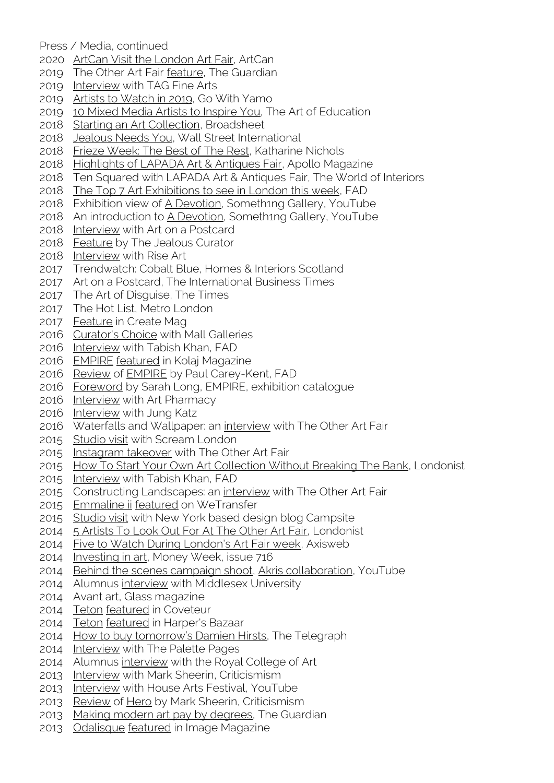Press / Media, continued

- [ArtCan Visit the London Art Fair,](https://www.artcan.org.uk/2020/01/artcan-visit-london-art-fair-2020/) ArtCan
- The Other Art Fair [feature,](https://www.theguardian.com/artanddesign/gallery/2019/oct/04/the-other-art-fair-2019-in-pictures) The Guardian
- [Interview](http://www.davidwightman.net/words/tag.html) with TAG Fine Arts
- [Artists to Watch in 2019,](https://www.gowithyamo.com/single-post/2019/01/23/Artists-To-Watch-In-2019?fbclid=IwAR06q_HMggmn3r_oA6D1X8SFqsGs7gmUyr5-X7d0FFGlfemMqQhJLY0A8lc) Go With Yamo
- [10 Mixed Media Artists to Inspire You,](https://theartofeducation.edu/2019/01/28/10-mixed-media-artists-to-inspire-you-and-your-students/) The Art of Education
- [Starting an Art Collection,](https://www.broadsheet.com.au/national/art-and-design/article/starting-art-collection-where-buy-affordable-works-online) Broadsheet
- [Jealous Needs You,](https://wsimag.com/art/44036-jealous-needs-you-2018) Wall Street International
- [Frieze Week: The Best of The Rest,](https://www.knichols.co.uk/blog/frieze-week-the-best-of-the-rest) Katharine Nichols
- [Highlights of LAPADA Art & Antiques Fair,](https://www.apollo-magazine.com/highlights-of-lapada-art-antiques-fair-2018/) Apollo Magazine
- Ten Squared with LAPADA Art & Antiques Fair, The World of Interiors
- [The Top 7 Art Exhibitions to see in London this week,](https://fadmagazine.com/2018/05/27/top-7-art-exhibitions-see-london-week-270518/) FAD
- 2018 Exhibition view of [A Devotion,](https://www.youtube.com/embed/vkK5NHDJF7I?rel=0) Someth1ng Gallery, YouTube
- An introduction to [A Devotion,](https://www.youtube.com/embed/7lxxhtNsbBs?rel=0) Someth1ng Gallery, YouTube
- [Interview](http://www.davidwightman.net/words/art_on_a_postcard.html) with Art on a Postcard
- [Feature](http://www.thejealouscurator.com/blog/2018/03/13/david-wightman/) by The Jealous Curator
- [Interview](http://www.davidwightman.net/words/rise_art.html) with Rise Art
- Trendwatch: Cobalt Blue, Homes & Interiors Scotland
- Art on a Postcard, The International Business Times
- The Art of Disguise, The Times
- The Hot List, Metro London
- [Feature](https://www.create-magazine.com/blog/david-wightman) in Create Mag
- [Curator's Choice](http://www.mallgalleries.org.uk/about-us/blog/curators-choice-tabish-khan-art-critic-londonist) with Mall Galleries
- [Interview](http://www.davidwightman.net/words/fad_2.html) with Tabish Khan, FAD
- [EMPIRE](http://www.davidwightman.net/shows/empire.html) [featured](http://kolajmagazine.com/content/content/collage-exhibitions/empire-david-wightman/) in Kolaj Magazine
- [Review](http://www.davidwightman.net/words/empire_review.html) of [EMPIRE](http://www.davidwightman.net/shows/empire.html) by Paul Carey-Kent, FAD
- [Foreword](http://www.davidwightman.net/words/empire_foreword.html) by Sarah Long, EMPIRE, exhibition catalogue
- [Interview](http://www.davidwightman.net/words/art_pharmacy.html) with Art Pharmacy
- [Interview](http://www.davidwightman.net/words/jung_katz.html) with Jung Katz
- Waterfalls and Wallpaper: an [interview](http://www.davidwightman.net/words/toaf_interview.html) with The Other Art Fair
- [Studio visit](http://www.screamlondon.com/blogs/journal/56192513-david-wightman-studio-visit) with Scream London
- [Instagram takeover](http://www.davidwightman.net/words/toaf_instagram.html) with The Other Art Fair
- [How To Start Your Own Art Collection Without Breaking The Bank,](http://www.londonist.com/2015/05/how-to-start-your-own-art-collection-without-breaking-the-bank#gallery=644343,644346) Londonist
- [Interview](http://www.davidwightman.net/words/fad.html) with Tabish Khan, FAD
- 2015 Constructing Landscapes: an [interview](http://www.davidwightman.net/words/constructing_landscapes.html) with The Other Art Fair
- [Emmaline ii](http://www.davidwightman.net/landscape/emmaline_2.html) [featured](https://www.wetransfer.com/wallpaper/537683989) on WeTransfer
- [Studio visit](http://www.davidwightman.net/words/campsite.html) with New York based design blog Campsite
- [5 Artists To Look Out For At The Other Art Fair,](http://www.londonist.com/2014/10/5-artists-to-look-out-for-at-the-other-art-fair) Londonist
- [Five to Watch During London's Art Fair week,](http://www.axisweb.org/features/default/spotlight/five2watch-art-fair-week/) Axisweb
- [Investing in art,](http://www.davidwightman.net/words/money_week.html) Money Week, issue 716
- [Behind the scenes campaign shoot,](https://www.youtube.com/watch?v=GRFEjDR3uPo) [Akris collaboration,](http://www.davidwightman.net/akris.html) YouTube
- Alumnus [interview](http://www.davidwightman.net/words/middlesex.html) with Middlesex University
- Avant art, Glass magazine
- [Teton](http://www.davidwightman.net/landscape/teton.html) [featured](http://coveteur.com/2014/09/16/rochelle-gores-fredston/) in Coveteur
- [Teton](http://www.davidwightman.net/landscape/teton.html) [featured](http://www.harpersbazaar.com/culture/features/rochelle-gores-fredston-interview-0614) in Harper's Bazaar
- [How to buy tomorrow's Damien Hirsts](http://www.telegraph.co.uk/finance/personalfinance/investing/10703203/How-to-buy-tomorrows-Damien-Hirsts.html), The Telegraph
- [Interview](http://www.davidwightman.net/words/palette_pages.html) with The Palette Pages
- Alumnus [interview](http://www.davidwightman.net/words/rca.html) with the Royal College of Art
- [Interview](http://www.davidwightman.net/words/criticismism_interview.html) with Mark Sheerin, Criticismism
- [Interview](http://www.davidwightman.net/shows/house.html) with House Arts Festival, YouTube
- [Review](http://www.davidwightman.net/words/hero_review.html) of [Hero](http://www.davidwightman.net/shows/house.html) by Mark Sheerin, Criticismism
- [Making modern art pay by degrees,](http://www.theguardian.com/money/2013/jun/01/modern-art-degree) The Guardian
- [Odalisque](http://www.davidwightman.net/landscape/odalisque.html) [featured](http://www.image.ie/Interiors/House-Tour/House-Tour/#!img=7) in Image Magazine